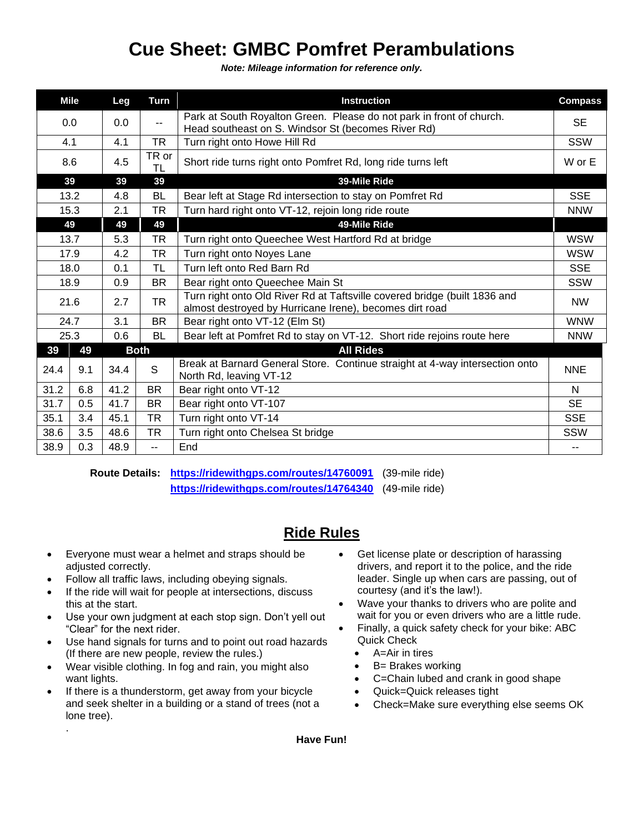## **Cue Sheet: GMBC Pomfret Perambulations**

*Note: Mileage information for reference only.*

| <b>Mile</b> |     | Leg  | <b>Turn</b> | <b>Instruction</b>                                                                                                                   | <b>Compass</b> |
|-------------|-----|------|-------------|--------------------------------------------------------------------------------------------------------------------------------------|----------------|
| 0.0         |     | 0.0  | --          | Park at South Royalton Green. Please do not park in front of church.<br>Head southeast on S. Windsor St (becomes River Rd)           | <b>SE</b>      |
| 4.1         |     | 4.1  | TR          | Turn right onto Howe Hill Rd                                                                                                         | SSW            |
| 8.6         |     | 4.5  | TR or<br>TL | Short ride turns right onto Pomfret Rd, long ride turns left                                                                         | W or E         |
| 39          |     | 39   | 39          | 39-Mile Ride                                                                                                                         |                |
| 13.2        |     | 4.8  | BL          | Bear left at Stage Rd intersection to stay on Pomfret Rd                                                                             | <b>SSE</b>     |
| 15.3        |     | 2.1  | <b>TR</b>   | Turn hard right onto VT-12, rejoin long ride route                                                                                   | <b>NNW</b>     |
| 49          |     | 49   | 49          | 49-Mile Ride                                                                                                                         |                |
| 13.7        |     | 5.3  | <b>TR</b>   | Turn right onto Queechee West Hartford Rd at bridge                                                                                  | <b>WSW</b>     |
| 17.9        |     | 4.2  | <b>TR</b>   | Turn right onto Noyes Lane                                                                                                           | <b>WSW</b>     |
| 18.0        |     | 0.1  | <b>TL</b>   | Turn left onto Red Barn Rd                                                                                                           | <b>SSE</b>     |
| 18.9        |     | 0.9  | <b>BR</b>   | Bear right onto Queechee Main St                                                                                                     | SSW            |
| 21.6        |     | 2.7  | <b>TR</b>   | Turn right onto Old River Rd at Taftsville covered bridge (built 1836 and<br>almost destroyed by Hurricane Irene), becomes dirt road | <b>NW</b>      |
| 24.7        |     | 3.1  | <b>BR</b>   | Bear right onto VT-12 (Elm St)                                                                                                       | <b>WNW</b>     |
| 25.3        |     | 0.6  | BL          | Bear left at Pomfret Rd to stay on VT-12. Short ride rejoins route here                                                              | <b>NNW</b>     |
| 39          | 49  |      | <b>Both</b> | <b>All Rides</b>                                                                                                                     |                |
| 24.4        | 9.1 | 34.4 | S           | Break at Barnard General Store. Continue straight at 4-way intersection onto<br>North Rd, leaving VT-12                              | <b>NNE</b>     |
| 31.2        | 6.8 | 41.2 | <b>BR</b>   | Bear right onto VT-12                                                                                                                | N              |
| 31.7        | 0.5 | 41.7 | <b>BR</b>   | Bear right onto VT-107                                                                                                               | <b>SE</b>      |
| 35.1        | 3.4 | 45.1 | <b>TR</b>   | Turn right onto VT-14                                                                                                                | <b>SSE</b>     |
| 38.6        | 3.5 | 48.6 | <b>TR</b>   | Turn right onto Chelsea St bridge                                                                                                    | <b>SSW</b>     |
| 38.9        | 0.3 | 48.9 | $-1$        | End                                                                                                                                  | --             |

**Route Details: <https://ridewithgps.com/routes/14760091>** (39-mile ride) **<https://ridewithgps.com/routes/14764340>** (49-mile ride)

## **Ride Rules**

- Everyone must wear a helmet and straps should be adjusted correctly.
- Follow all traffic laws, including obeying signals.
- If the ride will wait for people at intersections, discuss this at the start.
- Use your own judgment at each stop sign. Don't yell out "Clear" for the next rider.
- Use hand signals for turns and to point out road hazards (If there are new people, review the rules.)
- Wear visible clothing. In fog and rain, you might also want lights.
- If there is a thunderstorm, get away from your bicycle and seek shelter in a building or a stand of trees (not a lone tree).

.

- Get license plate or description of harassing drivers, and report it to the police, and the ride leader. Single up when cars are passing, out of courtesy (and it's the law!).
- Wave your thanks to drivers who are polite and wait for you or even drivers who are a little rude.
- Finally, a quick safety check for your bike: ABC Quick Check
	- A=Air in tires
	- **B**= Brakes working
	- C=Chain lubed and crank in good shape
	- Quick=Quick releases tight
	- Check=Make sure everything else seems OK

**Have Fun!**